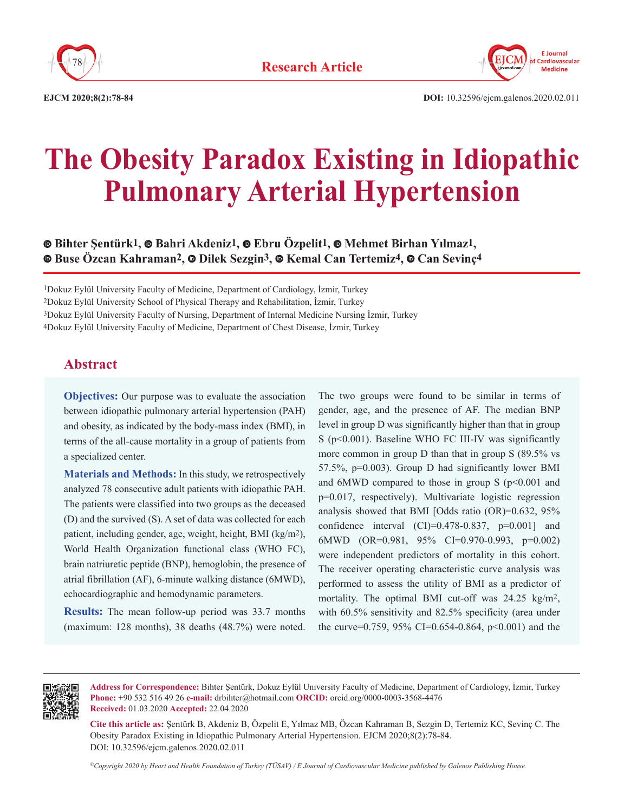



**EJCM 2020;8(2):78-84**

**DOI:** 10.32596/ejcm.galenos.2020.02.011

# **The Obesity Paradox Existing in Idiopathic Pulmonary Arterial Hypertension**

**Bihter Şentürk1,Bahri Akdeniz1,Ebru Özpelit1, Mehmet Birhan Yılmaz1, Buse Özcan Kahraman2, Dilek Sezgin3, Kemal Can Tertemiz4, Can Sevinç4**

Dokuz Eylül University Faculty of Medicine, Department of Cardiology, İzmir, Turkey Dokuz Eylül University School of Physical Therapy and Rehabilitation, İzmir, Turkey Dokuz Eylül University Faculty of Nursing, Department of Internal Medicine Nursing İzmir, Turkey Dokuz Eylül University Faculty of Medicine, Department of Chest Disease, İzmir, Turkey

### **Abstract**

**Objectives:** Our purpose was to evaluate the association between idiopathic pulmonary arterial hypertension (PAH) and obesity, as indicated by the body-mass index (BMI), in terms of the all-cause mortality in a group of patients from a specialized center.

**Materials and Methods:** In this study, we retrospectively analyzed 78 consecutive adult patients with idiopathic PAH. The patients were classified into two groups as the deceased (D) and the survived (S). A set of data was collected for each patient, including gender, age, weight, height, BMI (kg/m2), World Health Organization functional class (WHO FC), brain natriuretic peptide (BNP), hemoglobin, the presence of atrial fibrillation (AF), 6-minute walking distance (6MWD), echocardiographic and hemodynamic parameters.

**Results:** The mean follow-up period was 33.7 months (maximum: 128 months), 38 deaths (48.7%) were noted.

The two groups were found to be similar in terms of gender, age, and the presence of AF. The median BNP level in group D was significantly higher than that in group S ( $p<0.001$ ). Baseline WHO FC III-IV was significantly more common in group D than that in group S (89.5% vs 57.5%, p=0.003). Group D had significantly lower BMI and  $6MWD$  compared to those in group S ( $p<0.001$  and p=0.017, respectively). Multivariate logistic regression analysis showed that BMI [Odds ratio (OR)=0.632, 95% confidence interval  $(CI)=0.478-0.837$ ,  $p=0.001$  and 6MWD (OR=0.981, 95% CI=0.970-0.993, p=0.002) were independent predictors of mortality in this cohort. The receiver operating characteristic curve analysis was performed to assess the utility of BMI as a predictor of mortality. The optimal BMI cut-off was 24.25 kg/m2, with 60.5% sensitivity and 82.5% specificity (area under the curve=0.759, 95% CI=0.654-0.864,  $p<0.001$ ) and the



**Address for Correspondence:** Bihter Şentürk, Dokuz Eylül University Faculty of Medicine, Department of Cardiology, İzmir, Turkey **Phone:** +90 532 516 49 26 **e-mail:** drbihter@hotmail.com **ORCID:** orcid.org/0000-0003-3568-4476 **Received:** 01.03.2020 **Accepted:** 22.04.2020

**Cite this article as:** Şentürk B, Akdeniz B, Özpelit E, Yılmaz MB, Özcan Kahraman B, Sezgin D, Tertemiz KC, Sevinç C. The Obesity Paradox Existing in Idiopathic Pulmonary Arterial Hypertension. EJCM 2020;8(2):78-84. DOI: 10.32596/ejcm.galenos.2020.02.011

*©Copyright 2020 by Heart and Health Foundation of Turkey (TÜSAV) / E Journal of Cardiovascular Medicine published by Galenos Publishing House.*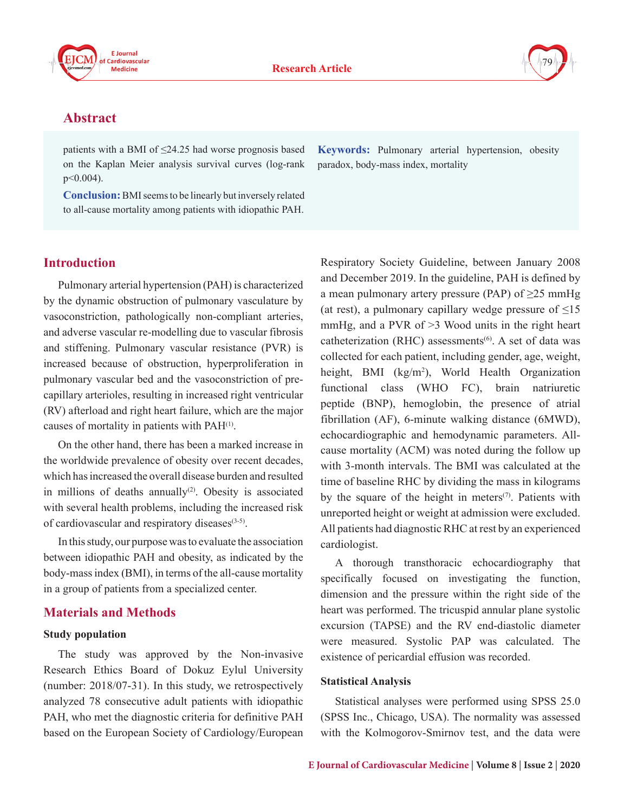



# **Abstract**

patients with a BMI of  $\leq$ 24.25 had worse prognosis based on the Kaplan Meier analysis survival curves (log-rank p<0.004).

**Conclusion:** BMI seems to be linearly but inversely related to all-cause mortality among patients with idiopathic PAH.

## **Introduction**

Pulmonary arterial hypertension (PAH) is characterized by the dynamic obstruction of pulmonary vasculature by vasoconstriction, pathologically non-compliant arteries, and adverse vascular re-modelling due to vascular fibrosis and stiffening. Pulmonary vascular resistance (PVR) is increased because of obstruction, hyperproliferation in pulmonary vascular bed and the vasoconstriction of precapillary arterioles, resulting in increased right ventricular (RV) afterload and right heart failure, which are the major causes of mortality in patients with PAH(1).

On the other hand, there has been a marked increase in the worldwide prevalence of obesity over recent decades, which has increased the overall disease burden and resulted in millions of deaths annually $(2)$ . Obesity is associated with several health problems, including the increased risk of cardiovascular and respiratory diseases(3-5).

In this study, our purpose was to evaluate the association between idiopathic PAH and obesity, as indicated by the body-mass index (BMI), in terms of the all-cause mortality in a group of patients from a specialized center.

## **Materials and Methods**

#### **Study population**

The study was approved by the Non-invasive Research Ethics Board of Dokuz Eylul University (number: 2018/07-31). In this study, we retrospectively analyzed 78 consecutive adult patients with idiopathic PAH, who met the diagnostic criteria for definitive PAH based on the European Society of Cardiology/European

**Keywords:** Pulmonary arterial hypertension, obesity paradox, body-mass index, mortality

Respiratory Society Guideline, between January 2008 and December 2019. In the guideline, PAH is defined by a mean pulmonary artery pressure (PAP) of  $\geq$ 25 mmHg (at rest), a pulmonary capillary wedge pressure of  $\leq 15$ mmHg, and a PVR of >3 Wood units in the right heart catheterization (RHC) assessments<sup> $(6)$ </sup>. A set of data was collected for each patient, including gender, age, weight, height, BMI (kg/m<sup>2</sup>), World Health Organization functional class (WHO FC), brain natriuretic peptide (BNP), hemoglobin, the presence of atrial fibrillation (AF), 6-minute walking distance (6MWD), echocardiographic and hemodynamic parameters. Allcause mortality (ACM) was noted during the follow up with 3-month intervals. The BMI was calculated at the time of baseline RHC by dividing the mass in kilograms by the square of the height in meters<sup> $(7)$ </sup>. Patients with unreported height or weight at admission were excluded. All patients had diagnostic RHC at rest by an experienced cardiologist.

A thorough transthoracic echocardiography that specifically focused on investigating the function, dimension and the pressure within the right side of the heart was performed. The tricuspid annular plane systolic excursion (TAPSE) and the RV end-diastolic diameter were measured. Systolic PAP was calculated. The existence of pericardial effusion was recorded.

#### **Statistical Analysis**

Statistical analyses were performed using SPSS 25.0 (SPSS Inc., Chicago, USA). The normality was assessed with the Kolmogorov-Smirnov test, and the data were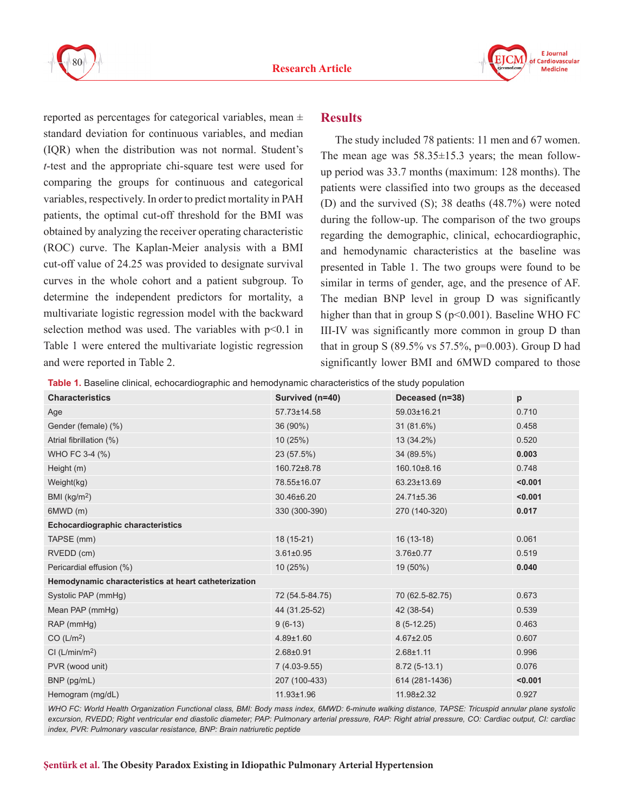



reported as percentages for categorical variables, mean  $\pm$ standard deviation for continuous variables, and median (IQR) when the distribution was not normal. Student's *t*-test and the appropriate chi-square test were used for comparing the groups for continuous and categorical variables, respectively. In order to predict mortality in PAH patients, the optimal cut-off threshold for the BMI was obtained by analyzing the receiver operating characteristic (ROC) curve. The Kaplan-Meier analysis with a BMI cut-off value of 24.25 was provided to designate survival curves in the whole cohort and a patient subgroup. To determine the independent predictors for mortality, a multivariate logistic regression model with the backward selection method was used. The variables with p<0.1 in Table 1 were entered the multivariate logistic regression and were reported in Table 2.

#### **Results**

The study included 78 patients: 11 men and 67 women. The mean age was  $58.35 \pm 15.3$  years; the mean followup period was 33.7 months (maximum: 128 months). The patients were classified into two groups as the deceased (D) and the survived (S); 38 deaths (48.7%) were noted during the follow-up. The comparison of the two groups regarding the demographic, clinical, echocardiographic, and hemodynamic characteristics at the baseline was presented in Table 1. The two groups were found to be similar in terms of gender, age, and the presence of AF. The median BNP level in group D was significantly higher than that in group  $S$  (p<0.001). Baseline WHO FC III-IV was significantly more common in group D than that in group S (89.5% vs 57.5%,  $p=0.003$ ). Group D had significantly lower BMI and 6MWD compared to those

**Table 1.** Baseline clinical, echocardiographic and hemodynamic characteristics of the study population

| <b>Characteristics</b>                               | Survived (n=40) | Deceased (n=38) | p       |  |
|------------------------------------------------------|-----------------|-----------------|---------|--|
| Age                                                  | 57.73±14.58     | 59.03±16.21     | 0.710   |  |
| Gender (female) (%)                                  | 36 (90%)        | 31 (81.6%)      | 0.458   |  |
| Atrial fibrillation (%)                              | 10(25%)         | 13 (34.2%)      | 0.520   |  |
| WHO FC 3-4 (%)                                       | 23 (57.5%)      | 34 (89.5%)      | 0.003   |  |
| Height (m)                                           | 160.72±8.78     | 160.10±8.16     | 0.748   |  |
| Weight(kg)                                           | 78.55±16.07     | 63.23±13.69     | < 0.001 |  |
| BMI ( $kg/m2$ )                                      | 30.46±6.20      | 24.71±5.36      | < 0.001 |  |
| 6MWD(m)                                              | 330 (300-390)   | 270 (140-320)   | 0.017   |  |
| Echocardiographic characteristics                    |                 |                 |         |  |
| TAPSE (mm)                                           | 18 (15-21)      | $16(13-18)$     | 0.061   |  |
| RVEDD (cm)                                           | $3.61 \pm 0.95$ | 3.76±0.77       | 0.519   |  |
| Pericardial effusion (%)                             | 10 (25%)        | 19 (50%)        | 0.040   |  |
| Hemodynamic characteristics at heart catheterization |                 |                 |         |  |
| Systolic PAP (mmHg)                                  | 72 (54.5-84.75) | 70 (62.5-82.75) | 0.673   |  |
| Mean PAP (mmHg)                                      | 44 (31.25-52)   | 42 (38-54)      | 0.539   |  |
| RAP (mmHg)                                           | $9(6-13)$       | $8(5-12.25)$    | 0.463   |  |
| CO (L/m <sup>2</sup> )                               | $4.89 + 1.60$   | $4.67 \pm 2.05$ | 0.607   |  |
| Cl (L/min/m <sup>2</sup> )                           | $2.68 + 0.91$   | $2.68 + 1.11$   | 0.996   |  |
| PVR (wood unit)                                      | $7(4.03-9.55)$  | $8.72(5-13.1)$  | 0.076   |  |
| BNP (pg/mL)                                          | 207 (100-433)   | 614 (281-1436)  | < 0.001 |  |
| Hemogram (mg/dL)                                     | 11.93±1.96      | 11.98±2.32      | 0.927   |  |

*WHO FC: World Health Organization Functional class, BMI: Body mass index, 6MWD: 6-minute walking distance, TAPSE: Tricuspid annular plane systolic*  excursion, RVEDD; Right ventricular end diastolic diameter; PAP: Pulmonary arterial pressure, RAP: Right atrial pressure, CO: Cardiac output, CI: cardiac *index, PVR: Pulmonary vascular resistance, BNP: Brain natriuretic peptide*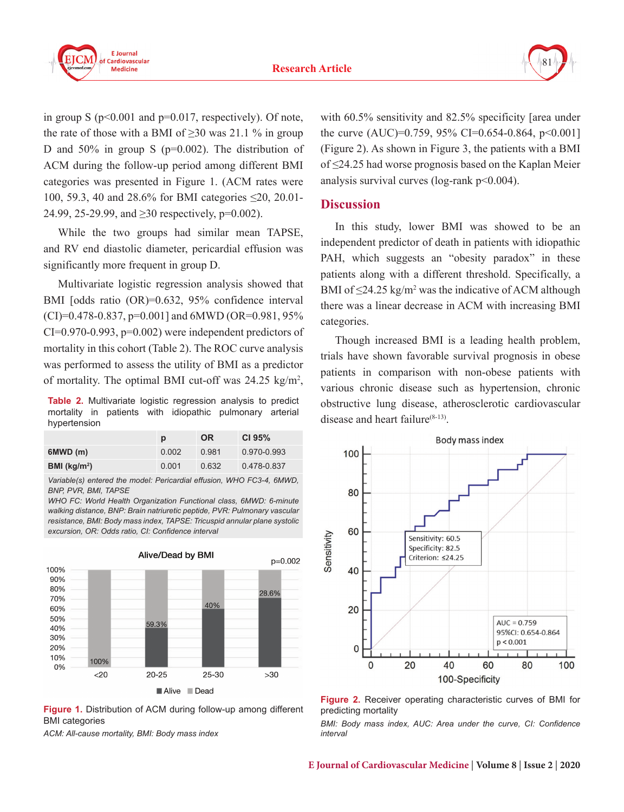

81

in group S ( $p<0.001$  and  $p=0.017$ , respectively). Of note, the rate of those with a BMI of  $\geq$ 30 was 21.1 % in group D and 50% in group S (p=0.002). The distribution of ACM during the follow-up period among different BMI categories was presented in Figure 1. (ACM rates were 100, 59.3, 40 and 28.6% for BMI categories ≤20, 20.01- 24.99, 25-29.99, and  $\geq$ 30 respectively, p=0.002).

While the two groups had similar mean TAPSE, and RV end diastolic diameter, pericardial effusion was significantly more frequent in group D.

Multivariate logistic regression analysis showed that BMI [odds ratio (OR)=0.632, 95% confidence interval  $(CI)=0.478-0.837$ ,  $p=0.001$  and 6MWD (OR=0.981, 95%)  $CI=0.970-0.993$ ,  $p=0.002$ ) were independent predictors of mortality in this cohort (Table 2). The ROC curve analysis was performed to assess the utility of BMI as a predictor of mortality. The optimal BMI cut-off was  $24.25 \text{ kg/m}^2$ ,

**Table 2.** Multivariate logistic regression analysis to predict mortality in patients with idiopathic pulmonary arterial hypertension

|                          | p     | <b>OR</b> | CI 95 $%$   |
|--------------------------|-------|-----------|-------------|
| 6MWD (m)                 | 0.002 | 0.981     | 0.970-0.993 |
| BMI (kg/m <sup>2</sup> ) | 0.001 | 0.632     | 0.478-0.837 |
|                          |       |           |             |

*Variable(s) entered the model: Pericardial effusion, WHO FC3-4, 6MWD, BNP, PVR, BMI, TAPSE*

*WHO FC: World Health Organization Functional class, 6MWD: 6-minute walking distance, BNP: Brain natriuretic peptide, PVR: Pulmonary vascular resistance, BMI: Body mass index, TAPSE: Tricuspid annular plane systolic excursion, OR: Odds ratio, CI: Confidence interval*



**Figure 1.** Distribution of ACM during follow-up among different BMI categories

*ACM: All-cause mortality, BMI: Body mass index*

with 60.5% sensitivity and 82.5% specificity [area under the curve (AUC)=0.759, 95% CI=0.654-0.864, p<0.001] (Figure 2). As shown in Figure 3, the patients with a BMI of ≤24.25 had worse prognosis based on the Kaplan Meier analysis survival curves (log-rank p<0.004).

#### **Discussion**

In this study, lower BMI was showed to be an independent predictor of death in patients with idiopathic PAH, which suggests an "obesity paradox" in these patients along with a different threshold. Specifically, a BMI of  $\leq$ 24.25 kg/m<sup>2</sup> was the indicative of ACM although there was a linear decrease in ACM with increasing BMI categories.

Though increased BMI is a leading health problem, trials have shown favorable survival prognosis in obese patients in comparison with non-obese patients with various chronic disease such as hypertension, chronic obstructive lung disease, atherosclerotic cardiovascular disease and heart failure $(8-13)$ .





*BMI: Body mass index, AUC: Area under the curve, CI: Confidence interval*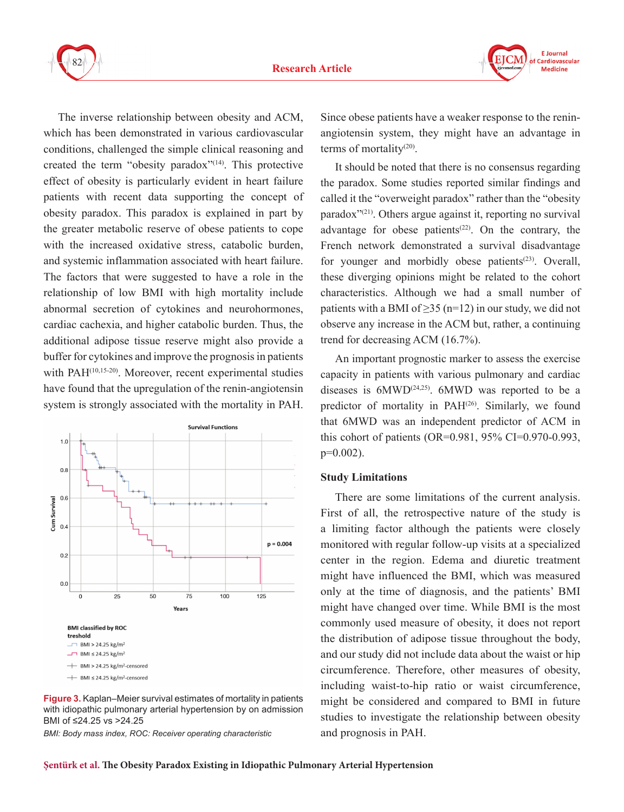



The inverse relationship between obesity and ACM, which has been demonstrated in various cardiovascular conditions, challenged the simple clinical reasoning and created the term "obesity paradox"(14). This protective effect of obesity is particularly evident in heart failure patients with recent data supporting the concept of obesity paradox. This paradox is explained in part by the greater metabolic reserve of obese patients to cope with the increased oxidative stress, catabolic burden, and systemic inflammation associated with heart failure. The factors that were suggested to have a role in the relationship of low BMI with high mortality include abnormal secretion of cytokines and neurohormones, cardiac cachexia, and higher catabolic burden. Thus, the additional adipose tissue reserve might also provide a buffer for cytokines and improve the prognosis in patients with PAH<sup>(10,15-20)</sup>. Moreover, recent experimental studies have found that the upregulation of the renin-angiotensin system is strongly associated with the mortality in PAH.



**Figure 3.** Kaplan–Meier survival estimates of mortality in patients with idiopathic pulmonary arterial hypertension by on admission BMI of ≤24.25 vs >24.25

*BMI: Body mass index, ROC: Receiver operating characteristic*

Since obese patients have a weaker response to the reninangiotensin system, they might have an advantage in terms of mortality $(20)$ .

It should be noted that there is no consensus regarding the paradox. Some studies reported similar findings and called it the "overweight paradox" rather than the "obesity paradox"(21). Others argue against it, reporting no survival advantage for obese patients<sup> $(22)$ </sup>. On the contrary, the French network demonstrated a survival disadvantage for younger and morbidly obese patients<sup> $(23)$ </sup>. Overall, these diverging opinions might be related to the cohort characteristics. Although we had a small number of patients with a BMI of  $\geq$ 35 (n=12) in our study, we did not observe any increase in the ACM but, rather, a continuing trend for decreasing ACM (16.7%).

An important prognostic marker to assess the exercise capacity in patients with various pulmonary and cardiac diseases is  $6MWD^{(24,25)}$ .  $6MWD$  was reported to be a predictor of mortality in PAH<sup>(26)</sup>. Similarly, we found that 6MWD was an independent predictor of ACM in this cohort of patients (OR=0.981, 95% CI=0.970-0.993,  $p=0.002$ ).

#### **Study Limitations**

There are some limitations of the current analysis. First of all, the retrospective nature of the study is a limiting factor although the patients were closely monitored with regular follow-up visits at a specialized center in the region. Edema and diuretic treatment might have influenced the BMI, which was measured only at the time of diagnosis, and the patients' BMI might have changed over time. While BMI is the most commonly used measure of obesity, it does not report the distribution of adipose tissue throughout the body, and our study did not include data about the waist or hip circumference. Therefore, other measures of obesity, including waist-to-hip ratio or waist circumference, might be considered and compared to BMI in future studies to investigate the relationship between obesity and prognosis in PAH.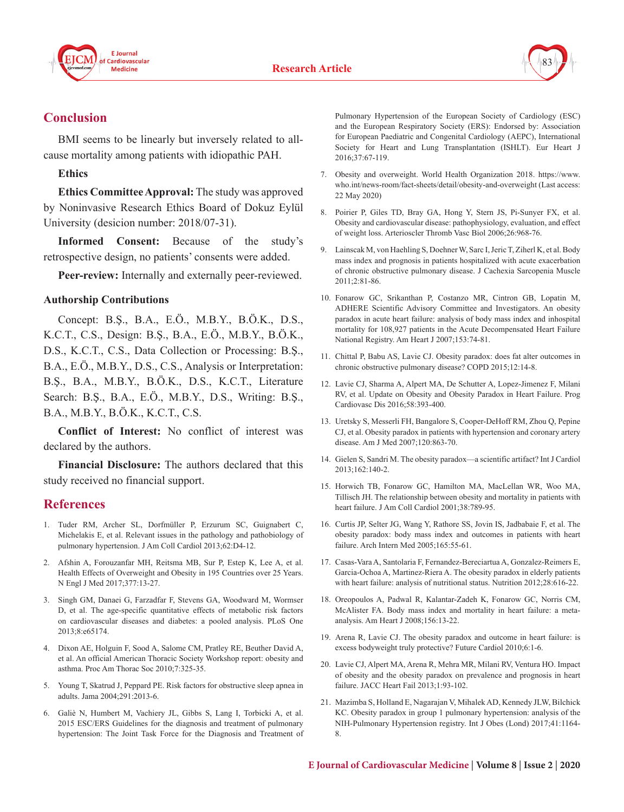



### **Conclusion**

BMI seems to be linearly but inversely related to allcause mortality among patients with idiopathic PAH.

#### **Ethics**

**Ethics Committee Approval:** The study was approved by Noninvasive Research Ethics Board of Dokuz Eylül University (desicion number: 2018/07-31).

**Informed Consent:** Because of the study's retrospective design, no patients' consents were added.

**Peer-review:** Internally and externally peer-reviewed.

#### **Authorship Contributions**

Concept: B.Ş., B.A., E.Ö., M.B.Y., B.Ö.K., D.S., K.C.T., C.S., Design: B.Ş., B.A., E.Ö., M.B.Y., B.Ö.K., D.S., K.C.T., C.S., Data Collection or Processing: B.Ş., B.A., E.Ö., M.B.Y., D.S., C.S., Analysis or Interpretation: B.Ş., B.A., M.B.Y., B.Ö.K., D.S., K.C.T., Literature Search: B.Ş., B.A., E.Ö., M.B.Y., D.S., Writing: B.Ş., B.A., M.B.Y., B.Ö.K., K.C.T., C.S.

**Conflict of Interest:** No conflict of interest was declared by the authors.

**Financial Disclosure:** The authors declared that this study received no financial support.

#### **References**

- 1. Tuder RM, Archer SL, Dorfmüller P, Erzurum SC, Guignabert C, Michelakis E, et al. Relevant issues in the pathology and pathobiology of pulmonary hypertension. J Am Coll Cardiol 2013;62:D4-12.
- 2. Afshin A, Forouzanfar MH, Reitsma MB, Sur P, Estep K, Lee A, et al. Health Effects of Overweight and Obesity in 195 Countries over 25 Years. N Engl J Med 2017;377:13-27.
- 3. Singh GM, Danaei G, Farzadfar F, Stevens GA, Woodward M, Wormser D, et al. The age-specific quantitative effects of metabolic risk factors on cardiovascular diseases and diabetes: a pooled analysis. PLoS One 2013;8:e65174.
- 4. Dixon AE, Holguin F, Sood A, Salome CM, Pratley RE, Beuther David A, et al. An official American Thoracic Society Workshop report: obesity and asthma. Proc Am Thorac Soc 2010;7:325-35.
- 5. Young T, Skatrud J, Peppard PE. Risk factors for obstructive sleep apnea in adults. Jama 2004;291:2013-6.
- 6. Galiè N, Humbert M, Vachiery JL, Gibbs S, Lang I, Torbicki A, et al. 2015 ESC/ERS Guidelines for the diagnosis and treatment of pulmonary hypertension: The Joint Task Force for the Diagnosis and Treatment of

Pulmonary Hypertension of the European Society of Cardiology (ESC) and the European Respiratory Society (ERS): Endorsed by: Association for European Paediatric and Congenital Cardiology (AEPC), International Society for Heart and Lung Transplantation (ISHLT). Eur Heart J 2016;37:67-119.

- 7. Obesity and overweight. World Health Organization 2018. https://www. who.int/news-room/fact-sheets/detail/obesity-and-overweight (Last access: 22 May 2020)
- 8. Poirier P, Giles TD, Bray GA, Hong Y, Stern JS, Pi-Sunyer FX, et al. Obesity and cardiovascular disease: pathophysiology, evaluation, and effect of weight loss. Arterioscler Thromb Vasc Biol 2006;26:968-76.
- 9. Lainscak M, von Haehling S, Doehner W, Sarc I, Jeric T, Ziherl K, et al. Body mass index and prognosis in patients hospitalized with acute exacerbation of chronic obstructive pulmonary disease. J Cachexia Sarcopenia Muscle 2011;2:81-86.
- 10. Fonarow GC, Srikanthan P, Costanzo MR, Cintron GB, Lopatin M, ADHERE Scientific Advisory Committee and Investigators. An obesity paradox in acute heart failure: analysis of body mass index and inhospital mortality for 108,927 patients in the Acute Decompensated Heart Failure National Registry. Am Heart J 2007;153:74-81.
- 11. Chittal P, Babu AS, Lavie CJ. Obesity paradox: does fat alter outcomes in chronic obstructive pulmonary disease? COPD 2015;12:14-8.
- 12. Lavie CJ, Sharma A, Alpert MA, De Schutter A, Lopez-Jimenez F, Milani RV, et al. Update on Obesity and Obesity Paradox in Heart Failure. Prog Cardiovasc Dis 2016;58:393-400.
- 13. Uretsky S, Messerli FH, Bangalore S, Cooper-DeHoff RM, Zhou Q, Pepine CJ, et al. Obesity paradox in patients with hypertension and coronary artery disease. Am J Med 2007;120:863-70.
- 14. Gielen S, Sandri M. The obesity paradox—a scientific artifact? Int J Cardiol  $2013:162:140-2$
- 15. Horwich TB, Fonarow GC, Hamilton MA, MacLellan WR, Woo MA, Tillisch JH. The relationship between obesity and mortality in patients with heart failure. J Am Coll Cardiol 2001;38:789-95.
- 16. Curtis JP, Selter JG, Wang Y, Rathore SS, Jovin IS, Jadbabaie F, et al. The obesity paradox: body mass index and outcomes in patients with heart failure. Arch Intern Med 2005;165:55-61.
- 17. Casas-Vara A, Santolaria F, Fernandez-Bereciartua A, Gonzalez-Reimers E, Garcia-Ochoa A, Martinez-Riera A. The obesity paradox in elderly patients with heart failure: analysis of nutritional status. Nutrition 2012;28:616-22.
- 18. Oreopoulos A, Padwal R, Kalantar-Zadeh K, Fonarow GC, Norris CM, McAlister FA. Body mass index and mortality in heart failure: a metaanalysis. Am Heart J 2008;156:13-22.
- 19. Arena R, Lavie CJ. The obesity paradox and outcome in heart failure: is excess bodyweight truly protective? Future Cardiol 2010;6:1-6.
- 20. Lavie CJ, Alpert MA, Arena R, Mehra MR, Milani RV, Ventura HO. Impact of obesity and the obesity paradox on prevalence and prognosis in heart failure. JACC Heart Fail 2013;1:93-102.
- 21. Mazimba S, Holland E, Nagarajan V, Mihalek AD, Kennedy JLW, Bilchick KC. Obesity paradox in group 1 pulmonary hypertension: analysis of the NIH-Pulmonary Hypertension registry. Int J Obes (Lond) 2017;41:1164- 8.